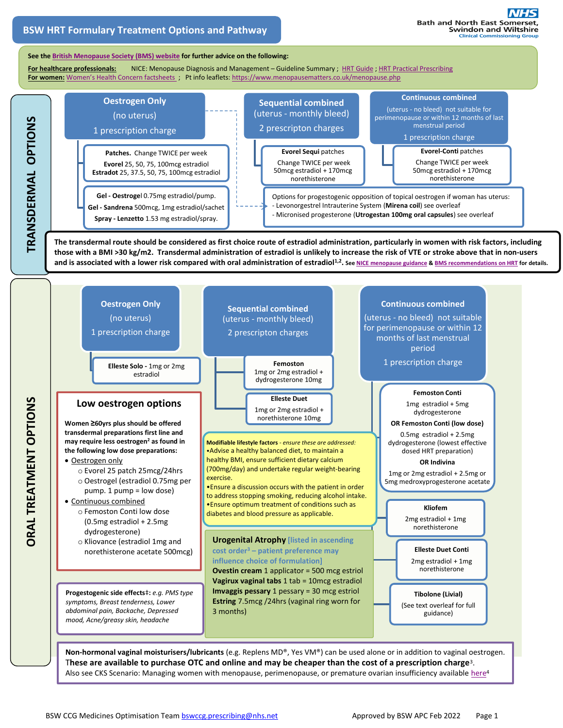#### **See th[e British Menopause Society](https://thebms.org.uk/publications/tools-for-clinicians/) (BMS) website for further advice on the following:**

For healthcare professionals: [NICE: Menopause Diagnosis and Management](https://thebms.org.uk/wp-content/uploads/2019/04/09-BMS-TfC-NICE-Menopause-Diagnosis-and-Management-from-Guideline-to-Practice-Guideline-Summary-01-April2019.pdf) - Guideline Summary ; [HRT Guide](https://thebms.org.uk/wp-content/uploads/2020/07/04-BMS-TfC-HRT-Guide-JULY2020-01D.pdf) [; HRT Practical Prescribing](https://thebms.org.uk/wp-content/uploads/2020/07/03-BMS-TfC-HRT-Practical-Prescribing-JULY2020-01E.pdf) For women: [Women's Health Concern factsheets](https://www.womens-health-concern.org/help-and-advice/factsheets/) ; Pt info leaflets: <https://www.menopausematters.co.uk/menopause.php>



**The transdermal route should be considered as first choice route of estradiol administration, particularly in women with risk factors, including those with a BMI >30 kg/m2. Transdermal administration of estradiol is unlikely to increase the risk of VTE or stroke above that in non-users**  and is associated with a lower risk compared with oral administration of estradiol<sup>1,2</sup>. Se[e NICE menopause guidance](https://www.nice.org.uk/guidance/ng23) & [BMS recommendations on HRT](https://doi.org/10.1177/2053369116680501) for details.



**Non-hormonal vaginal moisturisers/lubricants** (e.g. Replens MD®, Yes VM®) can be used alone or in addition to vaginal oestrogen. T**hese are available to purchase OTC and online and may be cheaper than the cost of a prescription charge**<sup>3</sup> . Also see CKS Scenario: Managing women with menopause, perimenopause, or premature ovarian insufficiency availabl[e here](https://cks.nice.org.uk/topics/menopause/management/management-of-menopause-perimenopause-or-premature-ovarian-insufficiency/#non-hormonal-treatments)<sup>4</sup>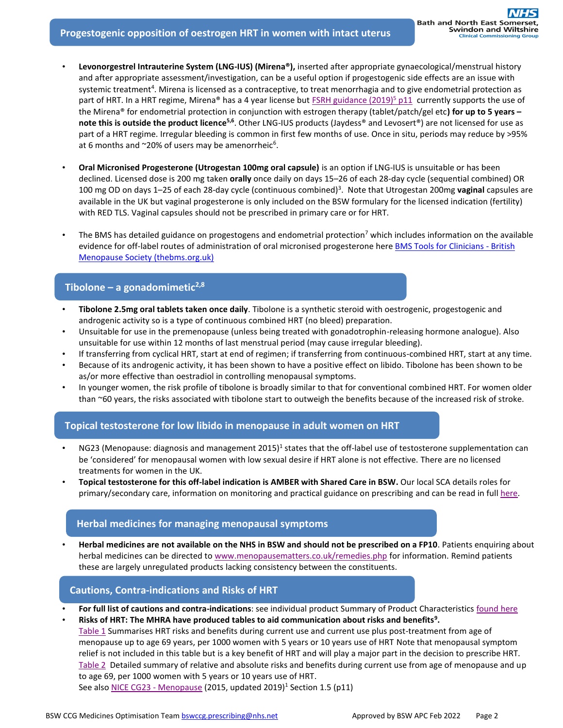- **Levonorgestrel Intrauterine System (LNG-IUS) (Mirena®),** inserted after appropriate gynaecological/menstrual history and after appropriate assessment/investigation, can be a useful option if progestogenic side effects are an issue with systemic treatment<sup>4</sup>. Mirena is licensed as a contraceptive, to treat menorrhagia and to give endometrial protection as part of HRT. In a HRT regime, Mirena® has a 4 year license but [FSRH guidance \(2019\)](https://www.fsrh.org/standards-and-guidance/documents/ceuguidanceintrauterinecontraception/)<sup>5</sup> p11 currently supports the use of the Mirena® for endometrial protection in conjunction with estrogen therapy (tablet/patch/gel etc**) for up to 5 years –** note this is outside the product licence<sup>5,6</sup>. Other LNG-IUS products (Jaydess® and Levosert®) are not licensed for use as part of a HRT regime. Irregular bleeding is common in first few months of use. Once in situ, periods may reduce by >95% at 6 months and  $\sim$ 20% of users may be amenorrheic<sup>6</sup>.
- **Oral Micronised Progesterone (Utrogestan 100mg oral capsule)** is an option if LNG-IUS is unsuitable or has been declined. Licensed dose is 200 mg taken **orally** once daily on days 15–26 of each 28-day cycle (sequential combined) OR 100 mg OD on days 1–25 of each 28-day cycle (continuous combined)<sup>3</sup> . Note that Utrogestan 200mg **vaginal** capsules are available in the UK but vaginal progesterone is only included on the BSW formulary for the licensed indication (fertility) with RED TLS. Vaginal capsules should not be prescribed in primary care or for HRT.
- The BMS has detailed guidance on progestogens and endometrial protection<sup>7</sup> which includes information on the available evidence for off-label routes of administration of oral micronised progesterone here **BMS Tools for Clinicians - British** [Menopause Society \(thebms.org.uk\)](https://thebms.org.uk/publications/tools-for-clinicians/)

### **Tibolone – a gonadomimetic2,8**

- **Tibolone 2.5mg oral tablets taken once daily**. Tibolone is a synthetic steroid with oestrogenic, progestogenic and androgenic activity so is a type of continuous combined HRT (no bleed) preparation.
- Unsuitable for use in the premenopause (unless being treated with gonadotrophin-releasing hormone analogue). Also unsuitable for use within 12 months of last menstrual period (may cause irregular bleeding).
- If transferring from cyclical HRT, start at end of regimen; if transferring from continuous-combined HRT, start at any time.
- Because of its androgenic activity, it has been shown to have a positive effect on libido. Tibolone has been shown to be as/or more effective than oestradiol in controlling menopausal symptoms.
- In younger women, the risk profile of tibolone is broadly similar to that for conventional combined HRT. For women older than ~60 years, the risks associated with tibolone start to outweigh the benefits because of the increased risk of stroke.

# **Topical testosterone for low libido in menopause in adult women on HRT**

- NG23 (Menopause: diagnosis and management 2015)<sup>1</sup> states that the off-label use of testosterone supplementation can be 'considered' for menopausal women with low sexual desire if HRT alone is not effective. There are no licensed treatments for women in the UK.
- **Topical testosterone for this off-label indication is AMBER with Shared Care in BSW.** Our local SCA details roles for primary/secondary care, information on monitoring and practical guidance on prescribing and can be read in ful[l here.](https://prescribing.bswccg.nhs.uk/?wpdmdl=8742)

# **Herbal medicines for managing menopausal symptoms**

• **Herbal medicines are not available on the NHS in BSW and should not be prescribed on a FP10**. Patients enquiring about herbal medicines can be directed t[o www.menopausematters.co.uk/remedies.php](https://www.menopausematters.co.uk/remedies.php) for information. Remind patients these are largely unregulated products lacking consistency between the constituents.

# **Cautions, Contra-indications and Risks of HRT**

- **For full list of cautions and contra-indications**: see individual product Summary of Product Characteristics [found](https://www.medicines.org.uk/emc) here
- **Risks of HRT: The MHRA have produced tables to aid communication about risks and benefits<sup>9</sup> .** [Table 1](https://assets.publishing.service.gov.uk/media/5d680409e5274a1711fbe65a/Table1.pdf) Summarises HRT risks and benefits during current use and current use plus post-treatment from age of menopause up to age 69 years, per 1000 women with 5 years or 10 years use of HRT Note that menopausal symptom relief is not included in this table but is a key benefit of HRT and will play a major part in the decision to prescribe HRT. [Table 2](https://assets.publishing.service.gov.uk/media/5d680384ed915d53b8ebdba7/table2.pdf) Detailed summary of relative and absolute risks and benefits during current use from age of menopause and up to age 69, per 1000 women with 5 years or 10 years use of HRT. See also [NICE CG23 -](https://www.nice.org.uk/guidance/ng23/resources/menopause-diagnosis-and-management-pdf-1837330217413) Menopause (2015, updated 2019)<sup>1</sup> Section 1.5 (p11)